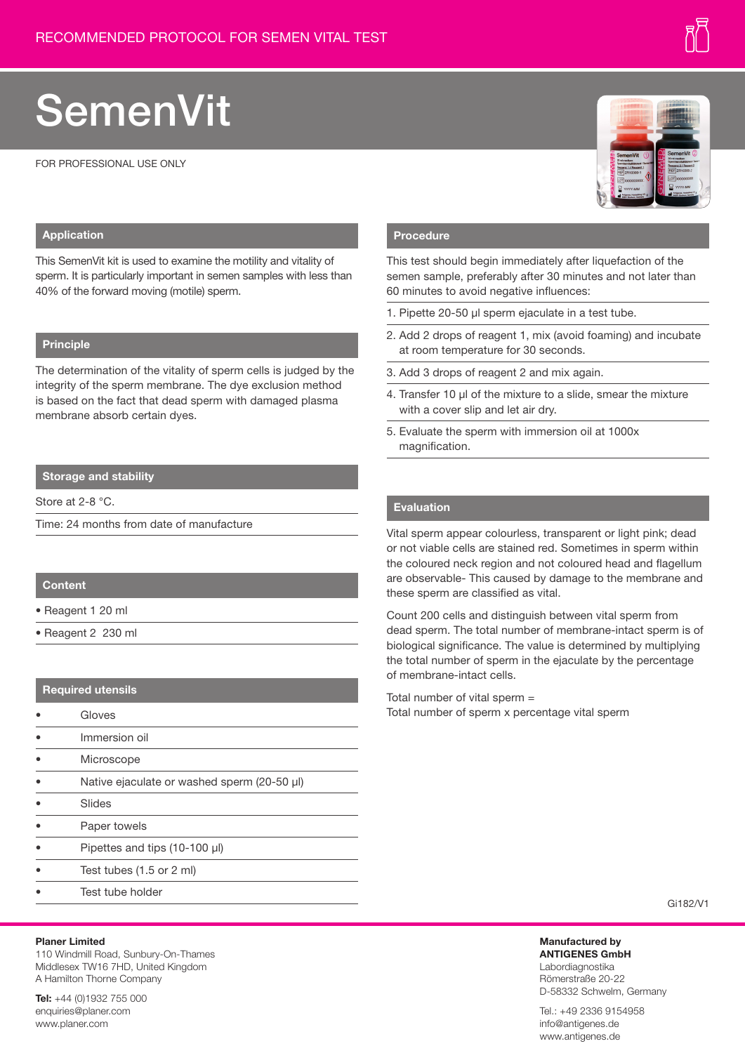# **SemenVit**

FOR PROFESSIONAL USE ONLY



## **Application**

This SemenVit kit is used to examine the motility and vitality of sperm. It is particularly important in semen samples with less than 40% of the forward moving (motile) sperm.

## **Principle**

The determination of the vitality of sperm cells is judged by the integrity of the sperm membrane. The dye exclusion method is based on the fact that dead sperm with damaged plasma membrane absorb certain dyes.

# **Storage and stability**

Store at 2-8 °C.

Time: 24 months from date of manufacture

## **Content**

- Reagent 1 20 ml
- Reagent 2 230 ml

## **Required utensils**

- **Gloves**
- Immersion oil
- **Microscope**
- Native ejaculate or washed sperm (20-50 µl)
- Slides
- Paper towels
- Pipettes and tips (10-100 µl)
- Test tubes (1.5 or 2 ml)
- Test tube holder

### **Planer Limited**

110 Windmill Road, Sunbury-On-Thames Middlesex TW16 7HD, United Kingdom A Hamilton Thorne Company

**Tel:** +44 (0)1932 755 000 enquiries@planer.com www.planer.com

#### **Procedure**

This test should begin immediately after liquefaction of the semen sample, preferably after 30 minutes and not later than 60 minutes to avoid negative influences:

- 1. Pipette 20-50 ul sperm ejaculate in a test tube.
- 2. Add 2 drops of reagent 1, mix (avoid foaming) and incubate at room temperature for 30 seconds.
- 3. Add 3 drops of reagent 2 and mix again.
- 4. Transfer 10 µl of the mixture to a slide, smear the mixture with a cover slip and let air dry.
- 5. Evaluate the sperm with immersion oil at 1000x magnification.

## **Evaluation**

Vital sperm appear colourless, transparent or light pink; dead or not viable cells are stained red. Sometimes in sperm within the coloured neck region and not coloured head and flagellum are observable- This caused by damage to the membrane and these sperm are classified as vital.

Count 200 cells and distinguish between vital sperm from dead sperm. The total number of membrane-intact sperm is of biological significance. The value is determined by multiplying the total number of sperm in the ejaculate by the percentage of membrane-intact cells.

Total number of vital sperm = Total number of sperm x percentage vital sperm

#### Gi182/V1

**Manufactured by ANTIGENES GmbH** Labordiagnostika Römerstraße 20-22 D-58332 Schwelm, Germany

Tel.: +49 2336 9154958 info@antigenes.de www.antigenes.de